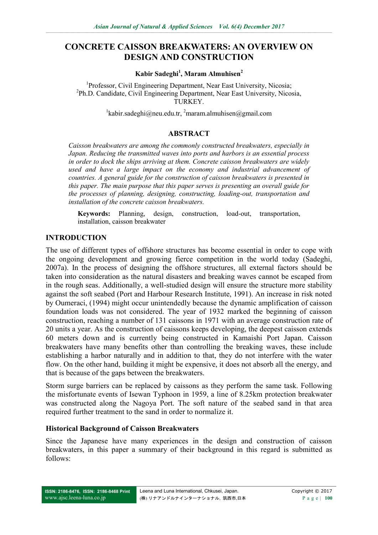# **CONCRETE CAISSON BREAKWATERS: AN OVERVIEW ON DESIGN AND CONSTRUCTION**

**Kabir Sadeghi<sup>1</sup> , Maram Almuhisen<sup>2</sup>**

<sup>1</sup>Professor, Civil Engineering Department, Near East University, Nicosia; <sup>2</sup>Ph.D. Candidate, Civil Engineering Department, Near East University, Nicosia, TURKEY.

 $\frac{1}{k}$ kabir.sadeghi@neu.edu.tr,  $\frac{2}{k}$ [maram.almuhisen@gmail.com](mailto:2maram.almuhisen@gmail.com)

### **ABSTRACT**

*Caisson breakwaters are among the commonly constructed breakwaters, especially in Japan. Reducing the transmitted waves into ports and harbors is an essential process in order to dock the ships arriving at them. Concrete caisson breakwaters are widely used and have a large impact on the economy and industrial advancement of countries. A general guide for the construction of caisson breakwaters is presented in this paper. The main purpose that this paper serves is presenting an overall guide for the processes of planning, designing, constructing, loading-out, transportation and installation of the concrete caisson breakwaters.*

**Keywords:** Planning, design, construction, load-out, transportation, installation, caisson breakwater

### **INTRODUCTION**

The use of different types of offshore structures has become essential in order to cope with the ongoing development and growing fierce competition in the world today (Sadeghi, 2007a). In the process of designing the offshore structures, all external factors should be taken into consideration as the natural disasters and breaking waves cannot be escaped from in the rough seas. Additionally, a well-studied design will ensure the structure more stability against the soft seabed (Port and Harbour Research Institute, 1991). An increase in risk noted by Oumeraci, (1994) might occur unintendedly because the dynamic amplification of caisson foundation loads was not considered. The year of 1932 marked the beginning of caisson construction, reaching a number of 131 caissons in 1971 with an average construction rate of 20 units a year. As the construction of caissons keeps developing, the deepest caisson extends 60 meters down and is currently being constructed in Kamaishi Port Japan. Caisson breakwaters have many benefits other than controlling the breaking waves, these include establishing a harbor naturally and in addition to that, they do not interfere with the water flow. On the other hand, building it might be expensive, it does not absorb all the energy, and that is because of the gaps between the breakwaters.

Storm surge barriers can be replaced by caissons as they perform the same task. Following the misfortunate events of Isewan Typhoon in 1959, a line of 8.25km protection breakwater was constructed along the Nagoya Port. The soft nature of the seabed sand in that area required further treatment to the sand in order to normalize it.

#### **Historical Background of Caisson Breakwaters**

Since the Japanese have many experiences in the design and construction of caisson breakwaters, in this paper a summary of their background in this regard is submitted as follows: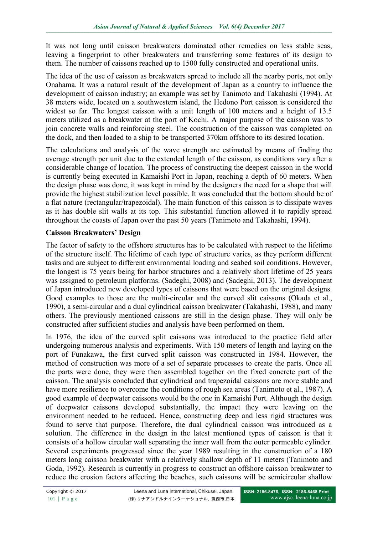It was not long until caisson breakwaters dominated other remedies on less stable seas, leaving a fingerprint to other breakwaters and transferring some features of its design to them. The number of caissons reached up to 1500 fully constructed and operational units.

The idea of the use of caisson as breakwaters spread to include all the nearby ports, not only Onahama. It was a natural result of the development of Japan as a country to influence the development of caisson industry; an example was set by Tanimoto and Takahashi (1994). At 38 meters wide, located on a southwestern island, the Hedono Port caisson is considered the widest so far. The longest caisson with a unit length of 100 meters and a height of 13.5 meters utilized as a breakwater at the port of Kochi. A major purpose of the caisson was to join concrete walls and reinforcing steel. The construction of the caisson was completed on the dock, and then loaded to a ship to be transported 370km offshore to its desired location.

The calculations and analysis of the wave strength are estimated by means of finding the average strength per unit due to the extended length of the caisson, as conditions vary after a considerable change of location. The process of constructing the deepest caisson in the world is currently being executed in Kamaishi Port in Japan, reaching a depth of 60 meters. When the design phase was done, it was kept in mind by the designers the need for a shape that will provide the highest stabilization level possible. It was concluded that the bottom should be of a flat nature (rectangular/trapezoidal). The main function of this caisson is to dissipate waves as it has double slit walls at its top. This substantial function allowed it to rapidly spread throughout the coasts of Japan over the past 50 years (Tanimoto and Takahashi, 1994).

# **Caisson Breakwaters' Design**

The factor of safety to the offshore structures has to be calculated with respect to the lifetime of the structure itself. The lifetime of each type of structure varies, as they perform different tasks and are subject to different environmental loading and seabed soil conditions. However, the longest is 75 years being for harbor structures and a relatively short lifetime of 25 years was assigned to petroleum platforms. (Sadeghi, 2008) and (Sadeghi, 2013). The development of Japan introduced new developed types of caissons that were based on the original designs. Good examples to those are the multi-circular and the curved slit caissons (Okada et al., 1990), a semi-circular and a dual cylindrical caisson breakwater (Takahashi, 1988), and many others. The previously mentioned caissons are still in the design phase. They will only be constructed after sufficient studies and analysis have been performed on them.

In 1976, the idea of the curved split caissons was introduced to the practice field after undergoing numerous analysis and experiments. With 150 meters of length and laying on the port of Funakawa, the first curved split caisson was constructed in 1984. However, the method of construction was more of a set of separate processes to create the parts. Once all the parts were done, they were then assembled together on the fixed concrete part of the caisson. The analysis concluded that cylindrical and trapezoidal caissons are more stable and have more resilience to overcome the conditions of rough sea areas (Tanimoto et al., 1987). A good example of deepwater caissons would be the one in Kamaishi Port. Although the design of deepwater caissons developed substantially, the impact they were leaving on the environment needed to be reduced. Hence, constructing deep and less rigid structures was found to serve that purpose. Therefore, the dual cylindrical caisson was introduced as a solution. The difference in the design in the latest mentioned types of caisson is that it consists of a hollow circular wall separating the inner wall from the outer permeable cylinder. Several experiments progressed since the year 1989 resulting in the construction of a 180 meters long caisson breakwater with a relatively shallow depth of 11 meters (Tanimoto and Goda, 1992). Research is currently in progress to construct an offshore caisson breakwater to reduce the erosion factors affecting the beaches, such caissons will be semicircular shallow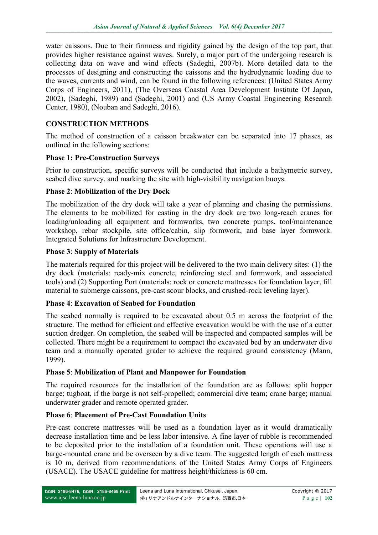water caissons. Due to their firmness and rigidity gained by the design of the top part, that provides higher resistance against waves. Surely, a major part of the undergoing research is collecting data on wave and wind effects (Sadeghi, 2007b). More detailed data to the processes of designing and constructing the caissons and the hydrodynamic loading due to the waves, currents and wind, can be found in the following references: (United States Army Corps of Engineers, 2011), (The Overseas Coastal Area Development Institute Of Japan, 2002), (Sadeghi, 1989) and (Sadeghi, 2001) and (US Army Coastal Engineering Research Center, 1980), (Nouban and Sadeghi, 2016).

### **CONSTRUCTION METHODS**

The method of construction of a caisson breakwater can be separated into 17 phases, as outlined in the following sections:

### **Phase 1: Pre-Construction Surveys**

Prior to construction, specific surveys will be conducted that include a bathymetric survey, seabed dive survey, and marking the site with high-visibility navigation buoys.

### **Phase 2**: **Mobilization of the Dry Dock**

The mobilization of the dry dock will take a year of planning and chasing the permissions. The elements to be mobilized for casting in the dry dock are two long-reach cranes for loading/unloading all equipment and formworks, two concrete pumps, tool/maintenance workshop, rebar stockpile, site office/cabin, slip formwork, and base layer formwork. Integrated Solutions for Infrastructure Development.

### **Phase 3**: **Supply of Materials**

The materials required for this project will be delivered to the two main delivery sites: (1) the dry dock (materials: ready-mix concrete, reinforcing steel and formwork, and associated tools) and (2) Supporting Port (materials: rock or concrete mattresses for foundation layer, fill material to submerge caissons, pre-cast scour blocks, and crushed-rock leveling layer).

### **Phase 4**: **Excavation of Seabed for Foundation**

The seabed normally is required to be excavated about 0.5 m across the footprint of the structure. The method for efficient and effective excavation would be with the use of a cutter suction dredger. On completion, the seabed will be inspected and compacted samples will be collected. There might be a requirement to compact the excavated bed by an underwater dive team and a manually operated grader to achieve the required ground consistency (Mann, 1999).

### **Phase 5**: **Mobilization of Plant and Manpower for Foundation**

The required resources for the installation of the foundation are as follows: split hopper barge; tugboat, if the barge is not self-propelled; commercial dive team; crane barge; manual underwater grader and remote operated grader.

# **Phase 6**: **Placement of Pre-Cast Foundation Units**

Pre-cast concrete mattresses will be used as a foundation layer as it would dramatically decrease installation time and be less labor intensive. A fine layer of rubble is recommended to be deposited prior to the installation of a foundation unit. These operations will use a barge-mounted crane and be overseen by a dive team. The suggested length of each mattress is 10 m, derived from recommendations of the United States Army Corps of Engineers (USACE). The USACE guideline for mattress height/thickness is 60 cm.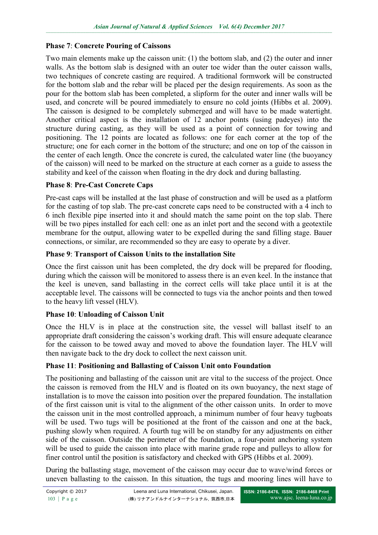### **Phase 7**: **Concrete Pouring of Caissons**

Two main elements make up the caisson unit: (1) the bottom slab, and (2) the outer and inner walls. As the bottom slab is designed with an outer toe wider than the outer caisson walls, two techniques of concrete casting are required. A traditional formwork will be constructed for the bottom slab and the rebar will be placed per the design requirements. As soon as the pour for the bottom slab has been completed, a slipform for the outer and inner walls will be used, and concrete will be poured immediately to ensure no cold joints (Hibbs et al. 2009). The caisson is designed to be completely submerged and will have to be made watertight. Another critical aspect is the installation of 12 anchor points (using padeyes) into the structure during casting, as they will be used as a point of connection for towing and positioning. The 12 points are located as follows: one for each corner at the top of the structure; one for each corner in the bottom of the structure; and one on top of the caisson in the center of each length. Once the concrete is cured, the calculated water line (the buoyancy of the caisson) will need to be marked on the structure at each corner as a guide to assess the stability and keel of the caisson when floating in the dry dock and during ballasting.

### **Phase 8**: **Pre-Cast Concrete Caps**

Pre-cast caps will be installed at the last phase of construction and will be used as a platform for the casting of top slab. The pre-cast concrete caps need to be constructed with a 4 inch to 6 inch flexible pipe inserted into it and should match the same point on the top slab. There will be two pipes installed for each cell: one as an inlet port and the second with a geotextile membrane for the output, allowing water to be expelled during the sand filling stage. Bauer connections, or similar, are recommended so they are easy to operate by a diver.

### **Phase 9**: **Transport of Caisson Units to the installation Site**

Once the first caisson unit has been completed, the dry dock will be prepared for flooding, during which the caisson will be monitored to assess there is an even keel. In the instance that the keel is uneven, sand ballasting in the correct cells will take place until it is at the acceptable level. The caissons will be connected to tugs via the anchor points and then towed to the heavy lift vessel (HLV).

# **Phase 10**: **Unloading of Caisson Unit**

Once the HLV is in place at the construction site, the vessel will ballast itself to an appropriate draft considering the caisson's working draft. This will ensure adequate clearance for the caisson to be towed away and moved to above the foundation layer. The HLV will then navigate back to the dry dock to collect the next caisson unit.

### **Phase 11**: **Positioning and Ballasting of Caisson Unit onto Foundation**

The positioning and ballasting of the caisson unit are vital to the success of the project. Once the caisson is removed from the HLV and is floated on its own buoyancy, the next stage of installation is to move the caisson into position over the prepared foundation. The installation of the first caisson unit is vital to the alignment of the other caisson units. In order to move the caisson unit in the most controlled approach, a minimum number of four heavy tugboats will be used. Two tugs will be positioned at the front of the caisson and one at the back, pushing slowly when required. A fourth tug will be on standby for any adjustments on either side of the caisson. Outside the perimeter of the foundation, a four-point anchoring system will be used to guide the caisson into place with marine grade rope and pulleys to allow for finer control until the position is satisfactory and checked with GPS (Hibbs et al. 2009).

During the ballasting stage, movement of the caisson may occur due to wave/wind forces or uneven ballasting to the caisson. In this situation, the tugs and mooring lines will have to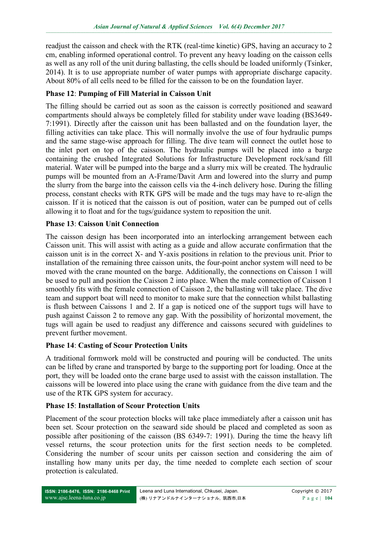readjust the caisson and check with the RTK (real-time kinetic) GPS, having an accuracy to 2 cm, enabling informed operational control. To prevent any heavy loading on the caisson cells as well as any roll of the unit during ballasting, the cells should be loaded uniformly (Tsinker, 2014). It is to use appropriate number of water pumps with appropriate discharge capacity. About 80% of all cells need to be filled for the caisson to be on the foundation layer.

# **Phase 12**: **Pumping of Fill Material in Caisson Unit**

The filling should be carried out as soon as the caisson is correctly positioned and seaward compartments should always be completely filled for stability under wave loading (BS3649- 7:1991). Directly after the caisson unit has been ballasted and on the foundation layer, the filling activities can take place. This will normally involve the use of four hydraulic pumps and the same stage-wise approach for filling. The dive team will connect the outlet hose to the inlet port on top of the caisson. The hydraulic pumps will be placed into a barge containing the crushed Integrated Solutions for Infrastructure Development rock/sand fill material. Water will be pumped into the barge and a slurry mix will be created. The hydraulic pumps will be mounted from an A-Frame/Davit Arm and lowered into the slurry and pump the slurry from the barge into the caisson cells via the 4-inch delivery hose. During the filling process, constant checks with RTK GPS will be made and the tugs may have to re-align the caisson. If it is noticed that the caisson is out of position, water can be pumped out of cells allowing it to float and for the tugs/guidance system to reposition the unit.

### **Phase 13**: **Caisson Unit Connection**

The caisson design has been incorporated into an interlocking arrangement between each Caisson unit. This will assist with acting as a guide and allow accurate confirmation that the caisson unit is in the correct X- and Y-axis positions in relation to the previous unit. Prior to installation of the remaining three caisson units, the four-point anchor system will need to be moved with the crane mounted on the barge. Additionally, the connections on Caisson 1 will be used to pull and position the Caisson 2 into place. When the male connection of Caisson 1 smoothly fits with the female connection of Caisson 2, the ballasting will take place. The dive team and support boat will need to monitor to make sure that the connection whilst ballasting is flush between Caissons 1 and 2. If a gap is noticed one of the support tugs will have to push against Caisson 2 to remove any gap. With the possibility of horizontal movement, the tugs will again be used to readjust any difference and caissons secured with guidelines to prevent further movement.

### **Phase 14**: **Casting of Scour Protection Units**

A traditional formwork mold will be constructed and pouring will be conducted. The units can be lifted by crane and transported by barge to the supporting port for loading. Once at the port, they will be loaded onto the crane barge used to assist with the caisson installation. The caissons will be lowered into place using the crane with guidance from the dive team and the use of the RTK GPS system for accuracy.

### **Phase 15**: **Installation of Scour Protection Units**

Placement of the scour protection blocks will take place immediately after a caisson unit has been set. Scour protection on the seaward side should be placed and completed as soon as possible after positioning of the caisson (BS 6349-7: 1991). During the time the heavy lift vessel returns, the scour protection units for the first section needs to be completed. Considering the number of scour units per caisson section and considering the aim of installing how many units per day, the time needed to complete each section of scour protection is calculated.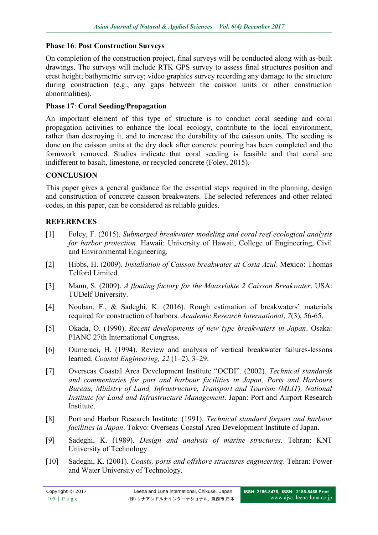### **Phase 16**: **Post Construction Surveys**

On completion of the construction project, final surveys will be conducted along with as-built drawings. The surveys will include RTK GPS survey to assess final structures position and crest height; bathymetric survey; video graphics survey recording any damage to the structure during construction (e.g., any gaps between the caisson units or other construction abnormalities).

## **Phase 17**: **Coral Seeding/Propagation**

An important element of this type of structure is to conduct coral seeding and coral propagation activities to enhance the local ecology, contribute to the local environment, rather than destroying it, and to increase the durability of the caisson units. The seeding is done on the caisson units at the dry dock after concrete pouring has been completed and the formwork removed. Studies indicate that coral seeding is feasible and that coral are indifferent to basalt, limestone, or recycled concrete (Foley, 2015).

### **CONCLUSION**

This paper gives a general guidance for the essential steps required in the planning, design and construction of concrete caisson breakwaters. The selected references and other related codes, in this paper, can be considered as reliable guides.

### **REFERENCES**

- [1] Foley, F. (2015). *Submerged breakwater modeling and coral reef ecological analysis for harbor protection*. Hawaii: University of Hawaii, College of Engineering, Civil and Environmental Engineering.
- [2] Hibbs, H. (2009). *Installation of Caisson breakwater at Costa Azul*. Mexico: Thomas Telford Limited.
- [3] Mann, S. (2009). *A floating factory for the Maasvlakte 2 Caisson Breakwater*. USA: TUDelf University.
- [4] Nouban, F., & Sadeghi, K. (2016). Rough estimation of breakwaters' materials required for construction of harbors. *Academic Research International*, *7*(3), 56-65.
- [5] Okada, O. (1990). *Recent developments of new type breakwaters in Japan*. Osaka: PIANC 27th International Congress.
- [6] Oumeraci, H. (1994). Review and analysis of vertical breakwater failures-lessons learned. *Coastal Engineering, 22* (1–2), 3–29.
- [7] Overseas Coastal Area Development Institute "OCDI". (2002). *Technical standards and commentaries for port and harbour facilities in Japan, Ports and Harbours Bureau, Ministry of Land, Infrastructure, Transport and Tourism (MLIT), National Institute for Land and Infrastructure Management*. Japan: Port and Airport Research Institute.
- [8] Port and Harbor Research Institute. (1991). *Technical standard forport and harbour facilities in Japan*. Tokyo: Overseas Coastal Area Development Institute of Japan.
- [9] Sadeghi, K. (1989). *Design and analysis of marine structures*. Tehran: KNT University of Technology.
- [10] Sadeghi, K. (2001). *Coasts, ports and offshore structures engineering*. Tehran: Power and Water University of Technology.